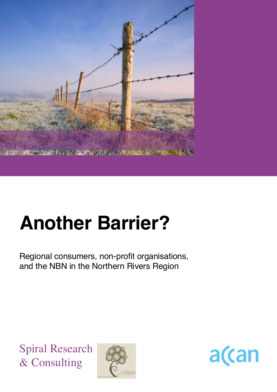

# **Another Barrier?**

Regional consumers, non-profit organisations, and the NBN in the Northern Rivers Region

Spiral Research & Consulting



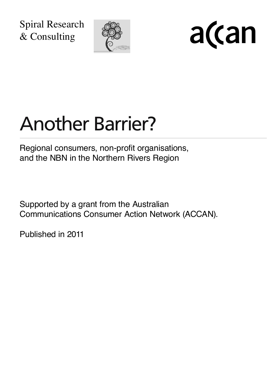Spiral Research & Consulting



a(can

# Another Barrier?

Regional consumers, non-profit organisations, and the NBN in the Northern Rivers Region

Supported by a grant from the Australian Communications Consumer Action Network (ACCAN).

Published in 2011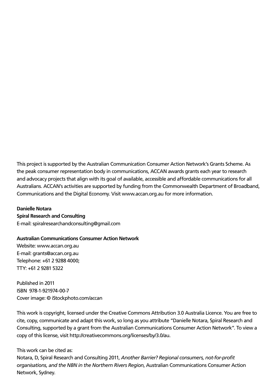This project is supported by the Australian Communication Consumer Action Network's Grants Scheme. As the peak consumer representation body in communications, ACCAN awards grants each year to research and advocacy projects that align with its goal of available, accessible and affordable communications for all Australians. ACCAN's activities are supported by funding from the Commonwealth Department of Broadband, Communications and the Digital Economy. Visit www.accan.org.au for more information.

#### **Danielle Notara Spiral Research and Consulting**

E-mail: spiralresearchandconsulting@gmail.com

#### **Australian Communications Consumer Action Network**

Website: www.accan.org.au E-mail: grants@accan.org.au Telephone: +61 2 9288 4000; TTY: +61 2 9281 5322

Published in 2011 ISBN 978-1-921974-00-7 Cover image: © iStockphoto.com/accan

This work is copyright, licensed under the Creative Commons Attribution 3.0 Australia Licence. You are free to cite, copy, communicate and adapt this work, so long as you attribute "Danielle Notara, Spiral Research and Consulting, supported by a grant from the Australian Communications Consumer Action Network". To view a copy of this license, visit http://creativecommons.org/licenses/by/3.0/au.

#### This work can be cited as:

Notara, D, Spiral Research and Consulting 2011, *Another Barrier? Regional consumers, not-for-profit organisations, and the NBN in the Northern Rivers Region*, Australian Communications Consumer Action Network, Sydney.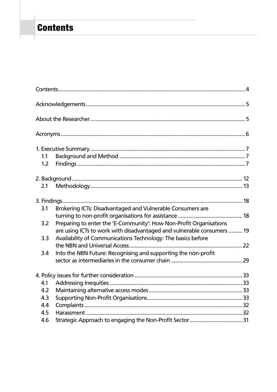# **Contents**

| 1.1 |                                                                        |  |
|-----|------------------------------------------------------------------------|--|
| 1.2 |                                                                        |  |
|     |                                                                        |  |
| 2.1 |                                                                        |  |
|     |                                                                        |  |
| 3.1 | Brokering ICTs: Disadvantaged and Vulnerable Consumers are             |  |
|     |                                                                        |  |
| 3.2 | Preparing to enter the 'E-Community': How Non-Profit Organisations     |  |
|     | are using ICTs to work with disadvantaged and vulnerable consumers  19 |  |
| 3.3 | Availability of Communications Technology: The basics before           |  |
|     |                                                                        |  |
| 3.4 | Into the NBN Future: Recognising and supporting the non-profit         |  |
|     |                                                                        |  |
|     |                                                                        |  |
| 4.1 |                                                                        |  |
| 4.2 |                                                                        |  |
| 4.3 |                                                                        |  |
| 4.4 |                                                                        |  |
| 4.5 |                                                                        |  |
| 4.6 |                                                                        |  |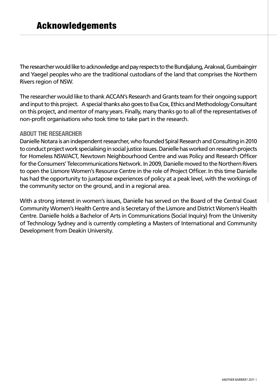The researcher would like to acknowledge and pay respects to the Bundjalung, Arakwal, Gumbaingirr and Yaegel peoples who are the traditional custodians of the land that comprises the Northern Rivers region of NSW.

The researcher would like to thank ACCAN's Research and Grants team for their ongoing support and input to this project. A special thanks also goes to Eva Cox, Ethics and Methodology Consultant on this project, and mentor of many years. Finally, many thanks go to all of the representatives of non-profit organisations who took time to take part in the research.

## **About the Researcher**

Danielle Notara is an independent researcher, who founded Spiral Research and Consulting in 2010 to conduct project work specialising in social justice issues. Danielle has worked on research projects for Homeless NSW/ACT, Newtown Neighbourhood Centre and was Policy and Research Officer for the Consumers' Telecommunications Network. In 2009, Danielle moved to the Northern Rivers to open the Lismore Women's Resource Centre in the role of Project Officer. In this time Danielle has had the opportunity to juxtapose experiences of policy at a peak level, with the workings of the community sector on the ground, and in a regional area.

With a strong interest in women's issues, Danielle has served on the Board of the Central Coast Community Women's Health Centre and is Secretary of the Lismore and District Women's Health Centre. Danielle holds a Bachelor of Arts in Communications (Social Inquiry) from the University of Technology Sydney and is currently completing a Masters of International and Community Development from Deakin University.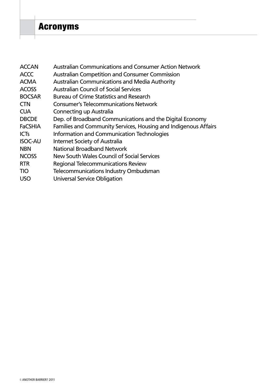# Acronyms

| <b>ACCAN</b>   | <b>Australian Communications and Consumer Action Network</b>    |
|----------------|-----------------------------------------------------------------|
| <b>ACCC</b>    | <b>Australian Competition and Consumer Commission</b>           |
| <b>ACMA</b>    | <b>Australian Communications and Media Authority</b>            |
| <b>ACOSS</b>   | <b>Australian Council of Social Services</b>                    |
| <b>BOCSAR</b>  | <b>Bureau of Crime Statistics and Research</b>                  |
| <b>CTN</b>     | <b>Consumer's Telecommunications Network</b>                    |
| <b>CUA</b>     | Connecting up Australia                                         |
| <b>DBCDE</b>   | Dep. of Broadband Communications and the Digital Economy        |
| <b>FaCSHIA</b> | Families and Community Services, Housing and Indigenous Affairs |
| <b>ICTs</b>    | Information and Communication Technologies                      |
| <b>ISOC-AU</b> | Internet Society of Australia                                   |
| <b>NBN</b>     | National Broadband Network                                      |
| <b>NCOSS</b>   | New South Wales Council of Social Services                      |
| <b>RTR</b>     | Regional Telecommunications Review                              |
| <b>TIO</b>     | <b>Telecommunications Industry Ombudsman</b>                    |
| <b>USO</b>     | Universal Service Obligation                                    |
|                |                                                                 |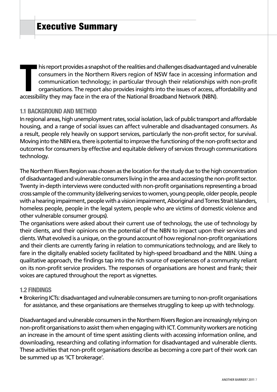**THE ACCE IS A SUMBER AND THE ACCE SET AND THE ACCE SET AND THE ACCE SIDE CONSUMERS IN CONSUMERS IN COMMUNICATION TO COMMUNICATION TO COMMUNICATION SUMPTING A SURVEY ORGANISATIONS. The report also provides insights into th**  $\blacksquare$  his report provides a snapshot of the realities and challenges disadvantaged and vulnerable consumers in the Northern Rivers region of NSW face in accessing information and communication technology; in particular through their relationships with non-profit organisations. The report also provides insights into the issues of access, affordability and

## **1.1 Background and Method**

In regional areas, high unemployment rates, social isolation, lack of public transport and affordable housing, and a range of social issues can affect vulnerable and disadvantaged consumers. As a result, people rely heavily on support services, particularly the non-profit sector, for survival. Moving into the NBN era, there is potential to improve the functioning of the non-profit sector and outcomes for consumers by effective and equitable delivery of services through communications technology.

The Northern Rivers Region was chosen as the location for the study due to the high concentration of disadvantaged and vulnerable consumers living in the area and accessing the non-profit sector. Twenty in-depth interviews were conducted with non-profit organisations representing a broad cross sample of the community (delivering services to women, young people, older people, people with a hearing impairment, people with a vision impairment, Aboriginal and Torres Strait Islanders, homeless people, people in the legal system, people who are victims of domestic violence and other vulnerable consumer groups).

The organisations were asked about their current use of technology, the use of technology by their clients, and their opinions on the potential of the NBN to impact upon their services and clients. What evolved is a unique, on the ground account of how regional non-profit organisations and their clients are currently faring in relation to communications technology, and are likely to fare in the digitally enabled society facilitated by high-speed broadband and the NBN. Using a qualitative approach, the findings tap into the rich source of experiences of a community reliant on its non-profit service providers. The responses of organisations are honest and frank; their voices are captured throughout the report as vignettes.

#### **1.2 Findings**

• Brokering ICTs: disadvantaged and vulnerable consumers are turning to non-profit organisations for assistance, and these organisations are themselves struggling to keep up with technology.

Disadvantaged and vulnerable consumers in the Northern Rivers Region are increasingly relying on non-profit organisations to assist them when engaging with ICT. Community workers are noticing an increase in the amount of time spent assisting clients with accessing information online, and downloading, researching and collating information for disadvantaged and vulnerable clients. These activities that non-profit organisations describe as becoming a core part of their work can be summed up as 'ICT brokerage'.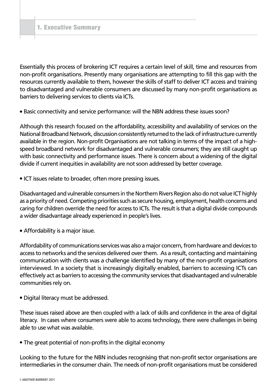Essentially this process of brokering ICT requires a certain level of skill, time and resources from non-profit organisations. Presently many organisations are attempting to fill this gap with the resources currently available to them, however the skills of staff to deliver ICT access and training to disadvantaged and vulnerable consumers are discussed by many non-profit organisations as barriers to delivering services to clients via ICTs.

• Basic connectivity and service performance: will the NBN address these issues soon?

Although this research focused on the affordability, accessibility and availability of services on the National Broadband Network, discussion consistently returned to the lack of infrastructure currently available in the region. Non-profit Organisations are not talking in terms of the impact of a highspeed broadband network for disadvantaged and vulnerable consumers; they are still caught up with basic connectivity and performance issues. There is concern about a widening of the digital divide if current inequities in availability are not soon addressed by better coverage.

• ICT issues relate to broader, often more pressing issues.

Disadvantaged and vulnerable consumers in the Northern Rivers Region also do not value ICT highly as a priority of need. Competing priorities such as secure housing, employment, health concerns and caring for children override the need for access to ICTs. The result is that a digital divide compounds a wider disadvantage already experienced in people's lives.

• Affordability is a major issue.

Affordability of communications services was also a major concern, from hardware and devices to access to networks and the services delivered over them. As a result, contacting and maintaining communication with clients was a challenge identified by many of the non-profit organisations interviewed. In a society that is increasingly digitally enabled, barriers to accessing ICTs can effectively act as barriers to accessing the community services that disadvantaged and vulnerable communities rely on.

• Digital literacy must be addressed.

These issues raised above are then coupled with a lack of skills and confidence in the area of digital literacy. In cases where consumers were able to access technology, there were challenges in being able to use what was available.

• The great potential of non-profits in the digital economy

Looking to the future for the NBN includes recognising that non-profit sector organisations are intermediaries in the consumer chain. The needs of non-profit organisations must be considered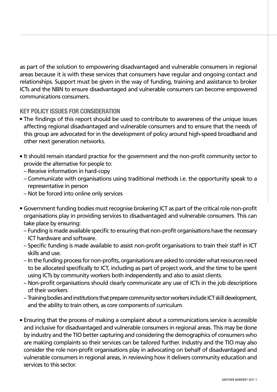as part of the solution to empowering disadvantaged and vulnerable consumers in regional areas because it is with these services that consumers have regular and ongoing contact and relationships. Support must be given in the way of funding, training and assistance to broker ICTs and the NBN to ensure disadvantaged and vulnerable consumers can become empowered communications consumers.

# **Key policy issues for consideration**

- The findings of this report should be used to contribute to awareness of the unique issues affecting regional disadvantaged and vulnerable consumers and to ensure that the needs of this group are advocated for in the development of policy around high-speed broadband and other next generation networks.
- It should remain standard practice for the government and the non-profit community sector to provide the alternative for people to:
	- Receive information in hard-copy
	- Communicate with organisations using traditional methods i.e. the opportunity speak to a representative in person
	- Not be forced into online only services
- Government funding bodies must recognise brokering ICT as part of the critical role non-profit organisations play in providing services to disadvantaged and vulnerable consumers. This can take place by ensuring:
	- Funding is made available specific to ensuring that non-profit organisations have the necessary ICT hardware and software.
	- Specific funding is made available to assist non-profit organisations to train their staff in ICT skills and use.
	- In the funding process for non-profits, organisations are asked to consider what resources need to be allocated specifically to ICT, including as part of project work, and the time to be spent using ICTs by community workers both independently and also to assist clients.
	- Non-profit organisations should clearly communicate any use of ICTs in the job descriptions of their workers
	- Training bodies and institutions that prepare community sector workers include ICT skill development, and the ability to train others, as core components of curriculum.
- Ensuring that the process of making a complaint about a communications service is accessible and inclusive for disadvantaged and vulnerable consumers in regional areas. This may be done by industry and the TIO better capturing and considering the demographics of consumers who are making complaints so their services can be tailored further. Industry and the TIO may also consider the role non-profit organisations play in advocating on behalf of disadvantaged and vulnerable consumers in regional areas, in reviewing how it delivers community education and services to this sector.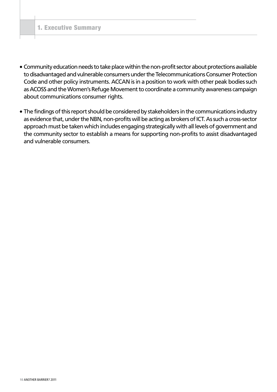- Community education needs to take place within the non-profit sector about protections available to disadvantaged and vulnerable consumers under the Telecommunications Consumer Protection Code and other policy instruments. ACCAN is in a position to work with other peak bodies such as ACOSS and the Women's Refuge Movement to coordinate a community awareness campaign about communications consumer rights.
- The findings of this report should be considered by stakeholders in the communications industry as evidence that, under the NBN, non-profits will be acting as brokers of ICT. As such a cross-sector approach must be taken which includes engaging strategically with all levels of government and the community sector to establish a means for supporting non-profits to assist disadvantaged and vulnerable consumers.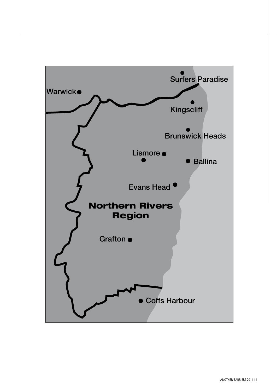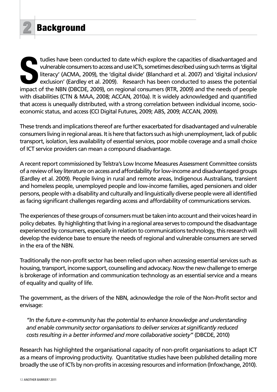tudies have been conducted to date which explore the capacities of disadvantaged and<br>
vulnerable consumers to access and use ICTs, sometimes described using such terms as 'digital<br>
literacy' (ACMA, 2009), the 'digital divi tudies have been conducted to date which explore the capacities of disadvantaged and vulnerable consumers to access and use ICTs, sometimes described using such terms as 'digital literacy' (ACMA, 2009), the 'digital divide' (Blanchard et al. 2007) and 'digital inclusion/ exclusion' (Eardley et al. 2009). Research has been conducted to assess the potential with disabilities (CTN & MAA, 2008; ACCAN, 2010a). It is widely acknowledged and quantified that access is unequally distributed, with a strong correlation between individual income, socioeconomic status, and access (CCI Digital Futures, 2009; ABS, 2009; ACCAN, 2009).

These trends and implications thereof are further exacerbated for disadvantaged and vulnerable consumers living in regional areas. It is here that factors such as high unemployment, lack of public transport, isolation, less availability of essential services, poor mobile coverage and a small choice of ICT service providers can mean a compound disadvantage.

A recent report commissioned by Telstra's Low Income Measures Assessment Committee consists of a review of key literature on access and affordability for low-income and disadvantaged groups (Eardley et al. 2009). People living in rural and remote areas, Indigenous Australians, transient and homeless people, unemployed people and low-income families, aged pensioners and older persons, people with a disability and culturally and linguistically diverse people were all identified as facing significant challenges regarding access and affordability of communications services.

The experiences of these groups of consumers must be taken into account and their voices heard in policy debates. By highlighting that living in a regional area serves to compound the disadvantage experienced by consumers, especially in relation to communications technology, this research will develop the evidence base to ensure the needs of regional and vulnerable consumers are served in the era of the NBN.

Traditionally the non-profit sector has been relied upon when accessing essential services such as housing, transport, income support, counselling and advocacy. Now the new challenge to emerge is brokerage of information and communication technology as an essential service and a means of equality and quality of life.

The government, as the drivers of the NBN, acknowledge the role of the Non-Profit sector and envisage:

*"In the future e-community has the potential to enhance knowledge and understanding and enable community sector organisations to deliver services at significantly reduced costs resulting in a better informed and more collaborative society"* (DBCDE, 2010)

Research has highlighted the organisational capacity of non-profit organisations to adapt ICT as a means of improving productivity. Quantitative studies have been published detailing more broadly the use of ICTs by non-profits in accessing resources and information (Infoxchange, 2010).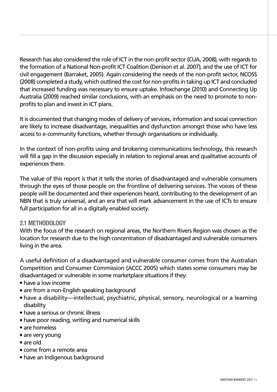Research has also considered the role of ICT in the non-profit sector (CUA, 2008), with regards to the formation of a National Non-profit ICT Coalition (Denison et al. 2007), and the use of ICT for civil engagement (Barraket, 2005). Again considering the needs of the non-profit sector, NCOSS (2008) completed a study, which outlined the cost for non-profits in taking up ICT and concluded that increased funding was necessary to ensure uptake. Infoxchange (2010) and Connecting Up Australia (2009) reached similar conclusions, with an emphasis on the need to promote to nonprofits to plan and invest in ICT plans.

It is documented that changing modes of delivery of services, information and social connection are likely to increase disadvantage, inequalities and dysfunction amongst those who have less access to e-community functions, whether through organisations or individually.

In the context of non-profits using and brokering communications technology, this research will fill a gap in the discussion especially in relation to regional areas and qualitative accounts of experiences there.

The value of this report is that it tells the stories of disadvantaged and vulnerable consumers through the eyes of those people on the frontline of delivering services. The voices of these people will be documented and their experiences heard, contributing to the development of an NBN that is truly universal, and an era that will mark advancement in the use of ICTs to ensure full participation for all in a digitally enabled society.

# **2.1 Methodology**

With the focus of the research on regional areas, the Northern Rivers Region was chosen as the location for research due to the high concentration of disadvantaged and vulnerable consumers living in the area.

A useful definition of a disadvantaged and vulnerable consumer comes from the Australian Competition and Consumer Commission (ACCC 2005) which states some consumers may be disadvantaged or vulnerable in some marketplace situations if they:

- $\bullet$  have a low income
- are from a non-English speaking background
- have a disability—intellectual, psychiatric, physical, sensory, neurological or a learning disability
- $\bullet$  have a serious or chronic illness
- have poor reading, writing and numerical skills
- are homeless
- $\bullet$  are very young
- <sup>l</sup> are old
- come from a remote area
- have an Indigenous background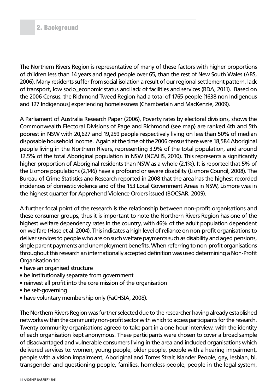The Northern Rivers Region is representative of many of these factors with higher proportions of children less than 14 years and aged people over 65, than the rest of New South Wales (ABS, 2006). Many residents suffer from social isolation a result of our regional settlement pattern, lack of transport, low socio\_economic status and lack of facilities and services (RDA, 2011). Based on the 2006 Census, the Richmond-Tweed Region had a total of 1765 people [1638 non Indigenous and 127 Indigenous] experiencing homelessness (Chamberlain and MacKenzie, 2009).

A Parliament of Australia Research Paper (2006), Poverty rates by electoral divisions, shows the Commonwealth Electoral Divisions of Page and Richmond (see map) are ranked 4th and 5th poorest in NSW with 20,627 and 19,259 people respectively living on less than 50% of median disposable household income. Again at the time of the 2006 census there were 18,584 Aboriginal people living in the Northern Rivers, representing 3.9% of the total population, and around 12.5% of the total Aboriginal population in NSW (NCAHS, 2010). This represents a significantly higher proportion of Aboriginal residents than NSW as a whole (2.1%). It is reported that 5% of the Lismore populations (2,146) have a profound or severe disability (Lismore Council, 2008). The Bureau of Crime Statistics and Research reported in 2008 that the area has the highest recorded incidences of domestic violence and of the 153 Local Government Areas in NSW, Lismore was in the highest quarter for Apprehend Violence Orders issued (BOCSAR, 2009).

A further focal point of the research is the relationship between non-profit organisations and these consumer groups, thus it is important to note the Northern Rivers Region has one of the highest welfare dependency rates in the country, with 46% of the adult population dependent on welfare (Hase et al. 2004). This indicates a high level of reliance on non-profit organisations to deliver services to people who are on such welfare payments such as disability and aged pensions, single parent payments and unemployment benefits. When referring to non-profit organisations throughout this research an internationally accepted definition was used determining a Non-Profit Organisation to:

- have an organised structure
- be institutionally separate from government
- reinvest all profit into the core mission of the organisation
- $\bullet$  be self-governing
- have voluntary membership only (FaCHSIA, 2008).

The Northern Rivers Region was further selected due to the researcher having already established networks within the community non-profit sector with which to access participants for the research. Twenty community organisations agreed to take part in a one-hour interview, with the identity of each organisation kept anonymous. These participants were chosen to cover a broad sample of disadvantaged and vulnerable consumers living in the area and included organisations which delivered services to: women, young people, older people, people with a hearing impairment, people with a vision impairment, Aboriginal and Torres Strait Islander People, gay, lesbian, bi, transgender and questioning people, families, homeless people, people in the legal system,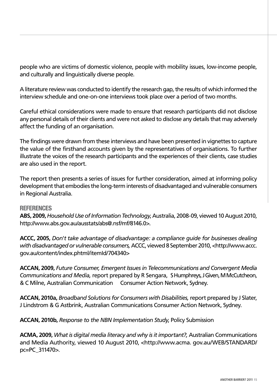people who are victims of domestic violence, people with mobility issues, low-income people, and culturally and linguistically diverse people.

A literature review was conducted to identify the research gap, the results of which informed the interview schedule and one-on-one interviews took place over a period of two months.

Careful ethical considerations were made to ensure that research participants did not disclose any personal details of their clients and were not asked to disclose any details that may adversely affect the funding of an organisation.

The findings were drawn from these interviews and have been presented in vignettes to capture the value of the firsthand accounts given by the representatives of organisations. To further illustrate the voices of the research participants and the experiences of their clients, case studies are also used in the report.

The report then presents a series of issues for further consideration, aimed at informing policy development that embodies the long-term interests of disadvantaged and vulnerable consumers in Regional Australia.

#### **References**

**ABS, 2009,** *Household Use of Information Technology*, Australia, 2008-09, viewed 10 August 2010, http://www.abs.gov.au/ausstats/abs@.nsf/mf/8146.0>.

**ACCC, 2005,** *Don't take advantage of disadvantage: a compliance guide for businesses dealing with disadvantaged or vulnerable consumers,* ACCC, viewed 8 September 2010, <http://www.accc. gov.au/content/index.phtml/itemId/704340>

**ACCAN, 2009,** *Future Consumer, Emergent Issues in Telecommunications and Convergent Media Communications and Media,* report prepared by R Sengara, S Humphreys, J Given, M McCutcheon, & C Milne, Australian Communication Consumer Action Network, Sydney.

**ACCAN, 2010a,** *Broadband Solutions for Consumers with Disabilities,* report prepared by J Slater, J Lindstrom & G Astbrink, Australian Communications Consumer Action Network, Sydney.

**ACCAN, 2010b,** *Response to the NBN Implementation Study*, Policy Submission

**ACMA, 2009,** *What is digital media literacy and why is it important?,* Australian Communications and Media Authority, viewed 10 August 2010, <http://www.acma. gov.au/WEB/STANDARD/ pc=PC\_311470>.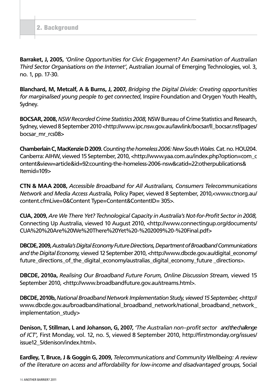**Barraket, J, 2005,** *'Online Opportunities for Civic Engagement? An Examination of Australian Third Sector Organisations on the Internet'*, Australian Journal of Emerging Technologies, vol. 3, no. 1, pp. 17-30.

**Blanchard, M, Metcalf, A & Burns, J, 2007,** *Bridging the Digital Divide: Creating opportunities for marginalised young people to get connected*, Inspire Foundation and Orygen Youth Health, Sydney.

**BOCSAR, 2008,***NSW Recorded Crime Statistics 2008,* NSW Bureau of Crime Statistics and Research, Sydney, viewed 8 September 2010 <http://www.ipc.nsw.gov.au/lawlink/bocsar/ll\_bocsar.nsf/pages/ bocsar\_mr\_rcs08>

**Chamberlain C, MacKenzie D 2009.***Counting the homeless 2006: New South Wales.* Cat. no. HOU204. Canberra: AIHW, viewed 15 September, 2010, <http://www.yaa.com.au/index.php?option=com\_c ontent&view=article&id=92:counting-the-homeless-2006-nsw&catid=22:otherpublications& Itemid=109>

**CTN & MAA 2008,** *Accessible Broadband for All Australians, Consumers Telecommunications Network and Media Access Australia,* Policy Paper, viewed 8 September, 2010,<www.ctnorg.au/ content.cfmLive=0&Content Type=Content&ContentID= 305>.

**CUA, 2009,** *Are We There Yet? Technological Capacity in Australia's Not-for-Profit Sector in 2008,* Connecting Up Australia, viewed 10 August 2010, <http://www.connectingup.org/documents/ CUA%20%20Are%20We%20There%20Yet%20-%202009%20-%20Final.pdf>

**DBCDE, 2009,** *Australia's Digital Economy Future Directions, Department of Broadband Communications*  and the Digital Economy, viewed 12 September 2010, <http://www.dbcde.gov.au/digital\_economy/ future directions of the digital economy/australias digital economy future directions>.

**DBCDE, 2010a,** *Realising Our Broadband Future Forum, Online Discussion Stream,* viewed 15 September 2010, <http://www.broadbandfuture.gov.au/streams.html>.

**DBCDE, 2010b,** *National Broadband Network Implementation Study, viewed 15 September,* <http:// www.dbcde.gov.au/broadband/national\_broadband\_network/national\_broadband\_network implementation\_study>

**Denison, T, Stillman, L and Johanson, G, 2007,** *'The Australian non–profit sector and the challenge of ICT',* First Monday, vol. 12, no. 5, viewed 8 September 2010, http://firstmonday.org/issues/ issue12\_5/denison/index.html>.

**Eardley, T, Bruce, J & Goggin G, 2009,** *Telecommunications and Community Wellbeing: A review of the literature on access and affordability for low-income and disadvantaged groups,* Social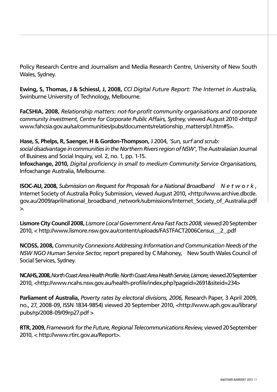Policy Research Centre and Journalism and Media Research Centre, University of New South Wales, Sydney.

**Ewing, S, Thomas, J & Schiessl, J, 2008,** *CCI Digital Future Report: The Internet in Australia,* Swinburne University of Technology, Melbourne.

**FaCSHIA, 2008,** *Relationship matters: not-for-profit community organisations and corporate community investment, Centre for Corporate Public Affairs, Sydney,* viewed August 2010 <http:// www.fahcsia.gov.au/sa/communities/pubs/documents/relationship\_matters/p1.htm#5>.

**Hase, S, Phelps, R, Saenger, H & Gordon-Thompson,** J 2004, *'Sun, surf and scrub: social disadvantage in communities in the Northern Rivers region of NSW',* The Australasian Journal of Business and Social Inquiry, vol. 2, no. 1, pp. 1-15.

**Infoxchange, 2010,** *Digital proficiency in small to medium Community Service Organisations,* Infoxchange Australia, Melbourne.

**ISOC-AU, 2008,** *Submission on Request for Proposals for a National Broadband N e t w o r k ,* Internet Society of Australia Policy Submission, viewed August 2010, <http://www.archive.dbcde. gov.au/2009/april/national\_broadband\_network/submissions/Internet\_Society\_of\_Australia.pdf  $\geq$ .

**Lismore City Council 2008,** *Lismore Local Government Area Fast Facts 2008,* viewed 20 September 2010, < http://www.lismore.nsw.gov.au/content/uploads/FASTFACT2006Census\_\_2\_.pdf

**NCOSS, 2008,** *Community Connexions Addressing Information and Communication Needs of the NSW NGO Human Service Sector,* report prepared by C Mahoney, New South Wales Council of Social Services, Sydney.

**NCAHS, 2008,***North Coast Area Health Profile. North Coast Area Health Service,Lismore,* viewed 20 September 2010, <http://www.ncahs.nsw.gov.au/health-profile/index.php?pageid=2691&siteid=234>

**Parliament of Australia,** *Poverty rates by electoral divisions, 2006,* Research Paper, 3 April 2009, no., 27, 2008-09, ISSN 1834-9854) viewed 20 September 2010, <http://www.aph.gov.au/library/ pubs/rp/2008-09/09rp27.pdf >

**RTR, 2009,** *Framework for the Future, Regional Telecommunications Review,* viewed 20 September 2010, < http://www.rtirc.gov.au/Report>.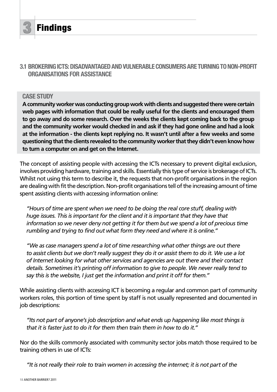

**Findings** 

# **3.1 Brokering ICTs: Disadvantaged and Vulnerable Consumers are turning to non-profit organisations for assistance**

#### **CASE STUDY**

**A community worker was conducting group work with clients and suggested there were certain**  web pages with information that could be really useful for the clients and encouraged them **to go away and do some research. Over the weeks the clients kept coming back to the group and the community worker would checked in and ask if they had gone online and had a look at the information - the clients kept replying no. It wasn't until after a few weeks and some questioning that the clients revealed to the community worker that they didn't even know how to turn a computer on and get on the Internet.**

The concept of assisting people with accessing the ICTs necessary to prevent digital exclusion, involves providing hardware, training and skills. Essentially this type of service is brokerage of ICTs. Whilst not using this term to describe it, the requests that non-profit organisations in the region are dealing with fit the description. Non-profit organisations tell of the increasing amount of time spent assisting clients with accessing information online:

*"Hours of time are spent when we need to be doing the real core stuff, dealing with huge issues. This is important for the client and it is important that they have that*  information so we never deny not getting it for them but we spend a lot of precious time *rumbling and trying to find out what form they need and where it is online."*

*"We as case managers spend a lot of time researching what other things are out there to assist clients but we don't really suggest they do it or assist them to do it. We use a lot of Internet looking for what other services and agencies are out there and their contact details. Sometimes it's printing off information to give to people. We never really tend to say this is the website, I just get the information and print it off for them."*

While assisting clients with accessing ICT is becoming a regular and common part of community workers roles, this portion of time spent by staff is not usually represented and documented in job descriptions:

*"Its not part of anyone's job description and what ends up happening like most things is that it is faster just to do it for them then train them in how to do it."*

Nor do the skills commonly associated with community sector jobs match those required to be training others in use of ICTs:

*"It is not really their role to train women in accessing the internet; it is not part of the*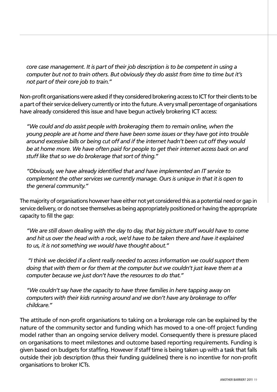*core case management. It is part of their job description is to be competent in using a computer but not to train others. But obviously they do assist from time to time but it's not part of their core job to train."*

Non-profit organisations were asked if they considered brokering access to ICT for their clients to be a part of their service delivery currently or into the future. A very small percentage of organisations have already considered this issue and have begun actively brokering ICT access:

*"We could and do assist people with brokeraging them to remain online, when the young people are at home and there have been some issues or they have got into trouble around excessive bills or being cut off and if the internet hadn't been cut off they would be at home more. We have often paid for people to get their internet access back on and stuff like that so we do brokerage that sort of thing."*

*"Obviously, we have already identified that and have implemented an IT service to complement the other services we currently manage. Ours is unique in that it is open to the general community."*

The majority of organisations however have either not yet considered this as a potential need or gap in service delivery, or do not see themselves as being appropriately positioned or having the appropriate capacity to fill the gap:

*"We are still down dealing with the day to day, that big picture stuff would have to come and hit us over the head with a rock, we'd have to be taken there and have it explained to us, it is not something we would have thought about."*

 *"I think we decided if a client really needed to access information we could support them doing that with them or for them at the computer but we couldn't just leave them at a computer because we just don't have the resources to do that."*

*"We couldn't say have the capacity to have three families in here tapping away on computers with their kids running around and we don't have any brokerage to offer childcare."*

The attitude of non-profit organisations to taking on a brokerage role can be explained by the nature of the community sector and funding which has moved to a one-off project funding model rather than an ongoing service delivery model. Consequently there is pressure placed on organisations to meet milestones and outcome based reporting requirements. Funding is given based on budgets for staffing. However if staff time is being taken up with a task that falls outside their job description (thus their funding guidelines) there is no incentive for non-profit organisations to broker ICTs.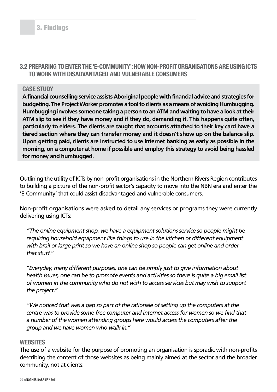# **3.2 Preparing to enter the 'E-Community': How Non-Profit Organisations are using ICTs to work with disadvantaged and vulnerable consumers**

#### **CASE STUDY**

**A financial counselling service assists Aboriginal people with financial advice and strategies for budgeting. The Project Worker promotes a tool to clients as a means of avoiding Humbugging. Humbugging involves someone taking a person to an ATM and waiting to have a look at their ATM slip to see if they have money and if they do, demanding it. This happens quite often, particularly to elders. The clients are taught that accounts attached to their key card have a tiered section where they can transfer money and it doesn't show up on the balance slip. Upon getting paid, clients are instructed to use Internet banking as early as possible in the morning, on a computer at home if possible and employ this strategy to avoid being hassled for money and humbugged.**

Outlining the utility of ICTs by non-profit organisations in the Northern Rivers Region contributes to building a picture of the non-profit sector's capacity to move into the NBN era and enter the 'E-Community' that could assist disadvantaged and vulnerable consumers.

Non-profit organisations were asked to detail any services or programs they were currently delivering using ICTs:

*"The online equipment shop, we have a equipment solutions service so people might be requiring household equipment like things to use in the kitchen or different equipment with brail or large print so we have an online shop so people can get online and order that stuff."*

"*Everyday, many different purposes, one can be simply just to give information about health issues, one can be to promote events and activities so there is quite a big email list of women in the community who do not wish to access services but may wish to support the project."*

*"We noticed that was a gap so part of the rationale of setting up the computers at the centre was to provide some free computer and Internet access for women so we find that a number of the women attending groups here would access the computers after the group and we have women who walk in."*

#### **Websites**

The use of a website for the purpose of promoting an organisation is sporadic with non-profits describing the content of those websites as being mainly aimed at the sector and the broader community, not at clients: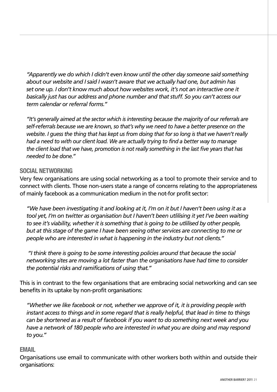*"Apparently we do which I didn't even know until the other day someone said something about our website and I said I wasn't aware that we actually had one, but admin has set one up. I don't know much about how websites work, it's not an interactive one it basically just has our address and phone number and that stuff. So you can't access our term calendar or referral forms."*

*"It's generally aimed at the sector which is interesting because the majority of our referrals are self-referrals because we are known, so that's why we need to have a better presence on the website. I guess the thing that has kept us from doing that for so long is that we haven't really had a need to with our client load. We are actually trying to find a better way to manage the client load that we have, promotion is not really something in the last five years that has needed to be done."*

## **Social Networking**

Very few organisations are using social networking as a tool to promote their service and to connect with clients. Those non-users state a range of concerns relating to the appropriateness of mainly facebook as a communication medium in the not-for profit sector:

*"We have been investigating it and looking at it, I'm on it but I haven't been using it as a tool yet, I'm on twitter as organisation but I haven't been utlilising it yet I've been waiting to see it's viability, whether it is something that is going to be utlilised by other people, but at this stage of the game I have been seeing other services are connecting to me or people who are interested in what is happening in the industry but not clients."*

 *"I think there is going to be some interesting policies around that because the social networking sites are moving a lot faster than the organisations have had time to consider the potential risks and ramifications of using that."*

This is in contrast to the few organisations that are embracing social networking and can see benefits in its uptake by non-profit organisations:

*"Whether we like facebook or not, whether we approve of it, it is providing people with instant access to things and in some regard that is really helpful, that lead in time to things can be shortened as a result of facebook if you want to do something next week and you have a network of 180 people who are interested in what you are doing and may respond to you."*

#### **Email**

Organisations use email to communicate with other workers both within and outside their organisations: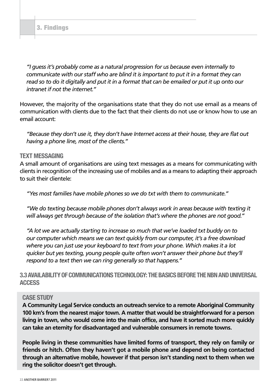*"I guess it's probably come as a natural progression for us because even internally to communicate with our staff who are blind it is important to put it in a format they can read so to do it digitally and put it in a format that can be emailed or put it up onto our intranet if not the internet."*

However, the majority of the organisations state that they do not use email as a means of communication with clients due to the fact that their clients do not use or know how to use an email account:

*"Because they don't use it, they don't have Internet access at their house, they are flat out having a phone line, most of the clients."*

#### **Text Messaging**

A small amount of organisations are using text messages as a means for communicating with clients in recognition of the increasing use of mobiles and as a means to adapting their approach to suit their clientele:

*"Yes most families have mobile phones so we do txt with them to communicate."*

*"We do texting because mobile phones don't always work in areas because with texting it will always get through because of the isolation that's where the phones are not good."*

*"A lot we are actually starting to increase so much that we've loaded txt buddy on to our computer which means we can text quickly from our computer, it's a free download where you can just use your keyboard to text from your phone. Which makes it a lot quicker but yes texting, young people quite often won't answer their phone but they'll respond to a text then we can ring generally so that happens."*

**3.3 AVAILABILITY OF COMMUNICATIONS TECHNOLOGY: THE BASICS BEFORE THE NBN AND UNIVERSAL Access**

#### **CASE STUDY**

**A Community Legal Service conducts an outreach service to a remote Aboriginal Community 100 km's from the nearest major town. A matter that would be straightforward for a person living in town, who would come into the main office, and have it sorted much more quickly can take an eternity for disadvantaged and vulnerable consumers in remote towns.** 

**People living in these communities have limited forms of transport, they rely on family or friends or hitch. Often they haven't got a mobile phone and depend on being contacted through an alternative mobile, however if that person isn't standing next to them when we ring the solicitor doesn't get through.**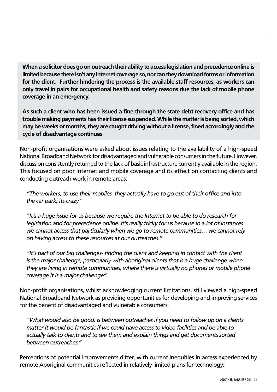**When a solicitor does go on outreach their ability to access legislation and precedence online is limited because there isn't any Internet coverage so, nor can they download forms or information for the client. Further hindering the process is the available staff resources, as workers can only travel in pairs for occupational health and safety reasons due the lack of mobile phone coverage in an emergency.** 

**As such a client who has been issued a fine through the state debt recovery office and has trouble making payments has their license suspended. While the matter is being sorted, which may be weeks or months, they are caught driving without a license, fined accordingly and the cycle of disadvantage continues**.

Non-profit organisations were asked about issues relating to the availability of a high-speed National Broadband Network for disadvantaged and vulnerable consumers in the future. However, discussion consistently returned to the lack of basic infrastructure currently available in the region. This focused on poor Internet and mobile coverage and its effect on contacting clients and conducting outreach work in remote areas:

*"The workers, to use their mobiles, they actually have to go out of their office and into the car park, its crazy."*

*"It's a huge issue for us because we require the Internet to be able to do research for legislation and for precedence online. It's really tricky for us because in a lot of instances we cannot access that particularly when we go to remote communities… we cannot rely on having access to these resources at our outreaches."*

*"It's part of our big challenges- finding the client and keeping in contact with the client is the major challenge, particularly with aboriginal clients that is a huge challenge when they are living in remote communities, where there is virtually no phones or mobile phone coverage it is a major challenge".*

Non-profit organisations, whilst acknowledging current limitations, still viewed a high-speed National Broadband Network as providing opportunities for developing and improving services for the benefit of disadvantaged and vulnerable consumers:

*"What would also be good, is between outreaches if you need to follow up on a clients matter it would be fantastic if we could have access to video facilities and be able to actually talk to clients and to see them and explain things and get documents sorted between outreaches."*

Perceptions of potential improvements differ, with current inequities in access experienced by remote Aboriginal communities reflected in relatively limited plans for technology: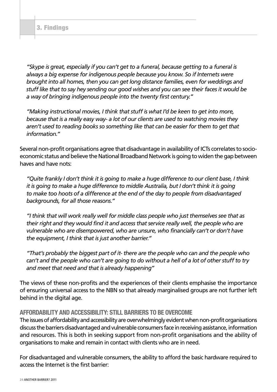*"Skype is great, especially if you can't get to a funeral, because getting to a funeral is always a big expense for indigenous people because you know. So if Internets were brought into all homes, then you can get long distance families, even for weddings and stuff like that to say hey sending our good wishes and you can see their faces it would be a way of bringing indigenous people into the twenty first century."*

*"Making instructional movies, I think that stuff is what I'd be keen to get into more, because that is a really easy way- a lot of our clients are used to watching movies they aren't used to reading books so something like that can be easier for them to get that information."*

Several non-profit organisations agree that disadvantage in availability of ICTs correlates to socioeconomic status and believe the National Broadband Network is going to widen the gap between haves and have nots:

*"Quite frankly I don't think it is going to make a huge difference to our client base, I think it is going to make a huge difference to middle Australia, but I don't think it is going to make too hoots of a difference at the end of the day to people from disadvantaged backgrounds, for all those reasons."*

*"I think that will work really well for middle class people who just themselves see that as their right and they would find it and access that service really well, the people who are vulnerable who are disempowered, who are unsure, who financially can't or don't have the equipment, I think that is just another barrier."*

*"That's probably the biggest part of it- there are the people who can and the people who can't and the people who can't are going to do without a hell of a lot of other stuff to try and meet that need and that is already happening"*

The views of these non-profits and the experiences of their clients emphasise the importance of ensuring universal access to the NBN so that already marginalised groups are not further left behind in the digital age.

# **Affordability and Accessibility: Still barriers to be overcome**

The issues of affordability and accessibility are overwhelmingly evident when non-profit organisations discuss the barriers disadvantaged and vulnerable consumers face in receiving assistance, information and resources. This is both in seeking support from non-profit organisations and the ability of organisations to make and remain in contact with clients who are in need.

For disadvantaged and vulnerable consumers, the ability to afford the basic hardware required to access the Internet is the first barrier: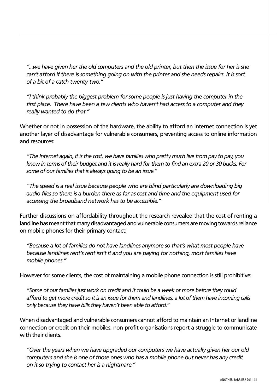*"...we have given her the old computers and the old printer, but then the issue for her is she can't afford if there is something going on with the printer and she needs repairs. It is sort of a bit of a catch twenty-two."*

*"I think probably the biggest problem for some people is just having the computer in the first place. There have been a few clients who haven't had access to a computer and they really wanted to do that."*

Whether or not in possession of the hardware, the ability to afford an Internet connection is yet another layer of disadvantage for vulnerable consumers, preventing access to online information and resources:

*"The Internet again, it is the cost, we have families who pretty much live from pay to pay, you know in terms of their budget and it is really hard for them to find an extra 20 or 30 bucks. For some of our families that is always going to be an issue."*

*"The speed is a real issue because people who are blind particularly are downloading big audio files so there is a burden there as far as cost and time and the equipment used for accessing the broadband network has to be accessible."*

Further discussions on affordability throughout the research revealed that the cost of renting a landline has meant that many disadvantaged and vulnerable consumers are moving towards reliance on mobile phones for their primary contact:

*"Because a lot of families do not have landlines anymore so that's what most people have because landlines rent's rent isn't it and you are paying for nothing, most families have mobile phones."*

However for some clients, the cost of maintaining a mobile phone connection is still prohibitive:

*"Some of our families just work on credit and it could be a week or more before they could afford to get more credit so it is an issue for them and landlines, a lot of them have incoming calls only because they have bills they haven't been able to afford."*

When disadvantaged and vulnerable consumers cannot afford to maintain an Internet or landline connection or credit on their mobiles, non-profit organisations report a struggle to communicate with their clients.

*"Over the years when we have upgraded our computers we have actually given her our old computers and she is one of those ones who has a mobile phone but never has any credit on it so trying to contact her is a nightmare."*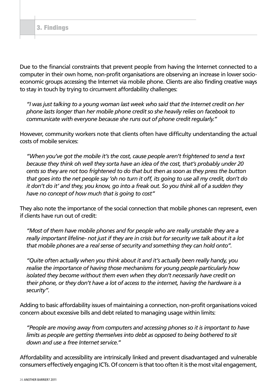Due to the financial constraints that prevent people from having the Internet connected to a computer in their own home, non-profit organisations are observing an increase in lower socioeconomic groups accessing the Internet via mobile phone. Clients are also finding creative ways to stay in touch by trying to circumvent affordability challenges:

*"I was just talking to a young woman last week who said that the Internet credit on her phone lasts longer than her mobile phone credit so she heavily relies on facebook to communicate with everyone because she runs out of phone credit regularly."*

However, community workers note that clients often have difficulty understanding the actual costs of mobile services:

*"When you've got the mobile it's the cost, cause people aren't frightened to send a text because they think oh well they sorta have an idea of the cost, that's probably under 20 cents so they are not too frightened to do that but then as soon as they press the button that goes into the net people say 'oh no turn it off, its going to use all my credit, don't do it don't do it' and they, you know, go into a freak out. So you think all of a sudden they have no concept of how much that is going to cost"*

They also note the importance of the social connection that mobile phones can represent, even if clients have run out of credit:

*"Most of them have mobile phones and for people who are really unstable they are a really important lifeline- not just if they are in crisis but for security we talk about it a lot that mobile phones are a real sense of security and something they can hold onto".*

*"Quite often actually when you think about it and it's actually been really handy, you realise the importance of having those mechanisms for young people particularly how isolated they become without them even when they don't necessarily have credit on their phone, or they don't have a lot of access to the internet, having the hardware is a security".* 

Adding to basic affordability issues of maintaining a connection, non-profit organisations voiced concern about excessive bills and debt related to managing usage within limits:

*"People are moving away from computers and accessing phones so it is important to have limits as people are getting themselves into debt as opposed to being bothered to sit down and use a free Internet service."*

Affordability and accessibility are intrinsically linked and prevent disadvantaged and vulnerable consumers effectively engaging ICTs. Of concern is that too often it is the most vital engagement,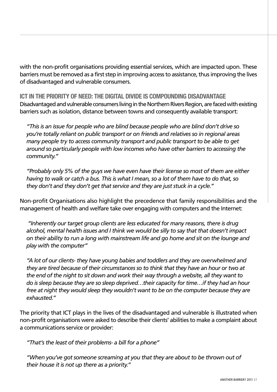with the non-profit organisations providing essential services, which are impacted upon. These barriers must be removed as a first step in improving access to assistance, thus improving the lives of disadvantaged and vulnerable consumers.

**ICT in the priority of need: The Digital Divide is compounding disadvantage** Disadvantaged and vulnerable consumers living in the Northern Rivers Region, are faced with existing barriers such as isolation, distance between towns and consequently available transport:

*"This is an issue for people who are blind because people who are blind don't drive so you're totally reliant on public transport or on friends and relatives so in regional areas many people try to access community transport and public transport to be able to get around so particularly people with low incomes who have other barriers to accessing the community."*

*"Probably only 5% of the guys we have even have their license so most of them are either having to walk or catch a bus. This is what I mean, so a lot of them have to do that, so they don't and they don't get that service and they are just stuck in a cycle."*

Non-profit Organisations also highlight the precedence that family responsibilities and the management of health and welfare take over engaging with computers and the Internet:

 *"Inherently our target group clients are less educated for many reasons, there is drug alcohol, mental health issues and I think we would be silly to say that that doesn't impact on their ability to run a long with mainstream life and go home and sit on the lounge and play with the computer"*

*"A lot of our clients- they have young babies and toddlers and they are overwhelmed and they are tired because of their circumstances so to think that they have an hour or two at the end of the night to sit down and work their way through a website, all they want to do is sleep because they are so sleep deprived…their capacity for time…if they had an hour free at night they would sleep they wouldn't want to be on the computer because they are exhausted."*

The priority that ICT plays in the lives of the disadvantaged and vulnerable is illustrated when non-profit organisations were asked to describe their clients' abilities to make a complaint about a communications service or provider:

*"That's the least of their problems- a bill for a phone"*

*"When you've got someone screaming at you that they are about to be thrown out of their house it is not up there as a priority."*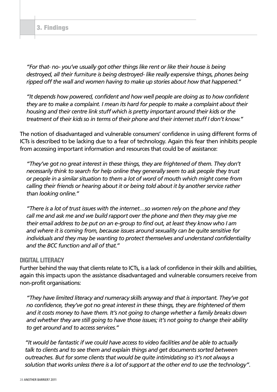*"For that- no- you've usually got other things like rent or like their house is being destroyed, all their furniture is being destroyed- like really expensive things, phones being ripped off the wall and women having to make up stories about how that happened."*

*"It depends how powered, confident and how well people are doing as to how confident they are to make a complaint. I mean its hard for people to make a complaint about their housing and their centre link stuff which is pretty important around their kids or the treatment of their kids so in terms of their phone and their internet stuff I don't know."*

The notion of disadvantaged and vulnerable consumers' confidence in using different forms of ICTs is described to be lacking due to a fear of technology. Again this fear then inhibits people from accessing important information and resources that could be of assistance:

*"They've got no great interest in these things, they are frightened of them. They don't necessarily think to search for help online they generally seem to ask people they trust or people in a similar situation to them a lot of word of mouth which might come from calling their friends or hearing about it or being told about it by another service rather than looking online."*

*"There is a lot of trust issues with the internet…so women rely on the phone and they call me and ask me and we build rapport over the phone and then they may give me their email address to be put on an e-group to find out, at least they know who I am and where it is coming from, because issues around sexuality can be quite sensitive for individuals and they may be wanting to protect themselves and understand confidentiality and the BCC function and all of that."*

#### **Digital Literacy**

Further behind the way that clients relate to ICTs, is a lack of confidence in their skills and abilities, again this impacts upon the assistance disadvantaged and vulnerable consumers receive from non-profit organisations:

*"They have limited literacy and numeracy skills anyway and that is important. They've got no confidence, they've got no great interest in these things, they are frightened of them and it costs money to have them. It's not going to change whether a family breaks down and whether they are still going to have those issues; it's not going to change their ability to get around and to access services."*

*"It would be fantastic if we could have access to video facilities and be able to actually talk to clients and to see them and explain things and get documents sorted between outreaches. But for some clients that would be quite intimidating so it's not always a solution that works unless there is a lot of support at the other end to use the technology"*.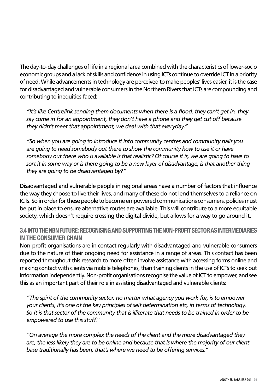The day-to-day challenges of life in a regional area combined with the characteristics of lower-socio economic groups and a lack of skills and confidence in using ICTs continue to override ICT in a priority of need. While advancements in technology are perceived to make peoples' lives easier, it is the case for disadvantaged and vulnerable consumers in the Northern Rivers that ICTs are compounding and contributing to inequities faced:

*"It's like Centrelink sending them documents when there is a flood, they can't get in, they say come in for an appointment, they don't have a phone and they get cut off because they didn't meet that appointment, we deal with that everyday."*

*"So when you are going to introduce it into community centres and community halls you*  are going to need somebody out there to show the community how to use it or have *somebody out there who is available is that realistic? Of course it is, we are going to have to sort it in some way or is there going to be a new layer of disadvantage, is that another thing they are going to be disadvantaged by?"*

Disadvantaged and vulnerable people in regional areas have a number of factors that influence the way they choose to live their lives, and many of these do not lend themselves to a reliance on ICTs. So in order for these people to become empowered communications consumers, policies must be put in place to ensure alternative routes are available. This will contribute to a more equitable society, which doesn't require crossing the digital divide, but allows for a way to go around it.

# **3.4 Into the NBN Future: Recognising and supporting the non-profit sectoras intermediaries in the consumer chain**

Non-profit organisations are in contact regularly with disadvantaged and vulnerable consumers due to the nature of their ongoing need for assistance in a range of areas. This contact has been reported throughout this research to more often involve assistance with accessing forms online and making contact with clients via mobile telephones, than training clients in the use of ICTs to seek out information independently. Non-profit organisations recognise the value of ICT to empower, and see this as an important part of their role in assisting disadvantaged and vulnerable clients:

*"The spirit of the community sector, no matter what agency you work for, is to empower your clients, it's one of the key principles of self determination etc, in terms of technology. So it is that sector of the community that is illiterate that needs to be trained in order to be empowered to use this stuff."*

*"On average the more complex the needs of the client and the more disadvantaged they are, the less likely they are to be online and because that is where the majority of our client base traditionally has been, that's where we need to be offering services."*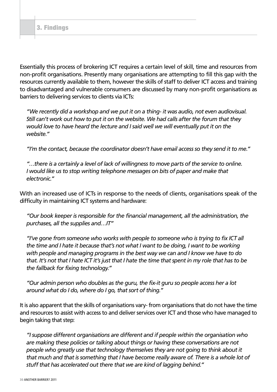Essentially this process of brokering ICT requires a certain level of skill, time and resources from non-profit organisations. Presently many organisations are attempting to fill this gap with the resources currently available to them, however the skills of staff to deliver ICT access and training to disadvantaged and vulnerable consumers are discussed by many non-profit organisations as barriers to delivering services to clients via ICTs:

*"We recently did a workshop and we put it on a thing- it was audio, not even audiovisual. Still can't work out how to put it on the website. We had calls after the forum that they would love to have heard the lecture and I said well we will eventually put it on the website."*

*"I'm the contact, because the coordinator doesn't have email access so they send it to me."*

*"…there is a certainly a level of lack of willingness to move parts of the service to online. I would like us to stop writing telephone messages on bits of paper and make that electronic."*

With an increased use of ICTs in response to the needs of clients, organisations speak of the difficulty in maintaining ICT systems and hardware:

*"Our book keeper is responsible for the financial management, all the administration, the purchases, all the supplies and…IT"*

*"I've gone from someone who works with people to someone who is trying to fix ICT all the time and I hate it because that's not what I want to be doing, I want to be working with people and managing programs in the best way we can and I know we have to do that. It's not that I hate ICT it's just that I hate the time that spent in my role that has to be the fallback for fixing technology."*

*"Our admin person who doubles as the guru, the fix-it guru so people access her a lot around what do I do, where do I go, that sort of thing."*

It is also apparent that the skills of organisations vary- from organisations that do not have the time and resources to assist with access to and deliver services over ICT and those who have managed to begin taking that step:

*"I suppose different organisations are different and if people within the organisation who are making these policies or talking about things or having these conversations are not people who greatly use that technology themselves they are not going to think about it that much and that is something that I have become really aware of. There is a whole lot of stuff that has accelerated out there that we are kind of lagging behind."*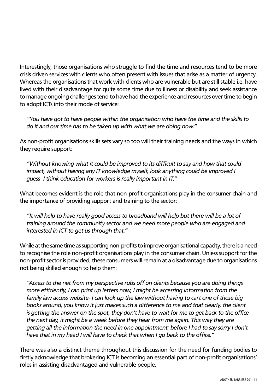Interestingly, those organisations who struggle to find the time and resources tend to be more crisis driven services with clients who often present with issues that arise as a matter of urgency. Whereas the organisations that work with clients who are vulnerable but are still stable i.e. have lived with their disadvantage for quite some time due to illness or disability and seek assistance to manage ongoing challenges tend to have had the experience and resources over time to begin to adopt ICTs into their mode of service:

*"You have got to have people within the organisation who have the time and the skills to do it and our time has to be taken up with what we are doing now."*

As non-profit organisations skills sets vary so too will their training needs and the ways in which they require support:

*"Without knowing what it could be improved to its difficult to say and how that could impact, without having any IT knowledge myself, look anything could be improved I guess- I think education for workers is really important in IT."*

What becomes evident is the role that non-profit organisations play in the consumer chain and the importance of providing support and training to the sector:

*"It will help to have really good access to broadband will help but there will be a lot of training around the community sector and we need more people who are engaged and interested in ICT to get us through that."*

While at the same time as supporting non-profits to improve organisational capacity, there is a need to recognise the role non-profit organisations play in the consumer chain. Unless support for the non-profit sector is provided, these consumers will remain at a disadvantage due to organisations not being skilled enough to help them:

*"Access to the net from my perspective rubs off on clients because you are doing things more efficiently, I can print up letters now, I might be accessing information from the family law access website- I can look up the law without having to cart one of those big books around, you know it just makes such a difference to me and that clearly, the client is getting the answer on the spot, they don't have to wait for me to get back to the office the next day, it might be a week before they hear from me again. This way they are getting all the information the need in one appointment; before I had to say sorry I don't have that in my head I will have to check that when I go back to the office."*

There was also a distinct theme throughout this discussion for the need for funding bodies to firstly acknowledge that brokering ICT is becoming an essential part of non-profit organisations' roles in assisting disadvantaged and vulnerable people.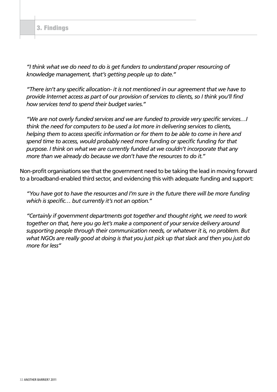#### 3. Findings

*"I think what we do need to do is get funders to understand proper resourcing of knowledge management, that's getting people up to date."*

*"There isn't any specific allocation- it is not mentioned in our agreement that we have to provide Internet access as part of our provision of services to clients, so I think you'll find how services tend to spend their budget varies."*

*"We are not overly funded services and we are funded to provide very specific services…I think the need for computers to be used a lot more in delivering services to clients, helping them to access specific information or for them to be able to come in here and spend time to access, would probably need more funding or specific funding for that purpose. I think on what we are currently funded at we couldn't incorporate that any more than we already do because we don't have the resources to do it."*

Non-profit organisations see that the government need to be taking the lead in moving forward to a broadband-enabled third sector, and evidencing this with adequate funding and support:

*"You have got to have the resources and I'm sure in the future there will be more funding which is specific… but currently it's not an option."*

*"Certainly if government departments got together and thought right, we need to work together on that, here you go let's make a component of your service delivery around supporting people through their communication needs, or whatever it is, no problem. But what NGOs are really good at doing is that you just pick up that slack and then you just do more for less"*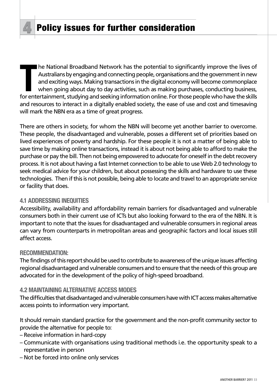The National Broadband Network has the potential to significantly improve the lives of<br>
Australians by engaging and connecting people, organisations and the government in new<br>
and exciting ways. Making transactions in the he National Broadband Network has the potential to significantly improve the lives of Australians by engaging and connecting people, organisations and the government in new and exciting ways. Making transactions in the digital economy will become commonplace when going about day to day activities, such as making purchases, conducting business, and resources to interact in a digitally enabled society, the ease of use and cost and timesaving will mark the NBN era as a time of great progress.

There are others in society, for whom the NBN will become yet another barrier to overcome. These people, the disadvantaged and vulnerable, posses a different set of priorities based on lived experiences of poverty and hardship. For these people it is not a matter of being able to save time by making online transactions, instead it is about not being able to afford to make the purchase or pay the bill. Then not being empowered to advocate for oneself in the debt recovery process. It is not about having a fast Internet connection to be able to use Web 2.0 technology to seek medical advice for your children, but about possessing the skills and hardware to use these technologies. Then if this is not possible, being able to locate and travel to an appropriate service or facility that does.

# **4.1 Addressing Inequities**

Accessibility, availability and affordability remain barriers for disadvantaged and vulnerable consumers both in their current use of ICTs but also looking forward to the era of the NBN. It is important to note that the issues for disadvantaged and vulnerable consumers in regional areas can vary from counterparts in metropolitan areas and geographic factors and local issues still affect access.

# **RECOMMENDATION:**

The findings of this report should be used to contribute to awareness of the unique issues affecting regional disadvantaged and vulnerable consumers and to ensure that the needs of this group are advocated for in the development of the policy of high-speed broadband.

# **4.2 Maintaining alternative access modes**

The difficulties that disadvantaged and vulnerable consumers have with ICT access makes alternative access points to information very important.

It should remain standard practice for the government and the non-profit community sector to provide the alternative for people to:

- Receive information in hard-copy
- Communicate with organisations using traditional methods i.e. the opportunity speak to a representative in person
- Not be forced into online only services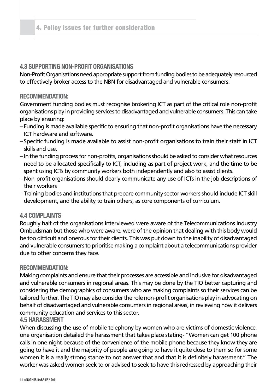# **4.3 Supporting Non-Profit Organisations**

Non-Profit Organisations need appropriate support from funding bodies to be adequately resourced to effectively broker access to the NBN for disadvantaged and vulnerable consumers.

# **RECOMMENDATION:**

Government funding bodies must recognise brokering ICT as part of the critical role non-profit organisations play in providing services to disadvantaged and vulnerable consumers. This can take place by ensuring:

- Funding is made available specific to ensuring that non-profit organisations have the necessary ICT hardware and software.
- Specific funding is made available to assist non-profit organisations to train their staff in ICT skills and use.
- In the funding process for non-profits, organisations should be asked to consider what resources need to be allocated specifically to ICT, including as part of project work, and the time to be spent using ICTs by community workers both independently and also to assist clients.
- Non-profit organisations should clearly communicate any use of ICTs in the job descriptions of their workers
- Training bodies and institutions that prepare community sector workers should include ICT skill development, and the ability to train others, as core components of curriculum.

# **4.4 Complaints**

Roughly half of the organisations interviewed were aware of the Telecommunications Industry Ombudsman but those who were aware, were of the opinion that dealing with this body would be too difficult and onerous for their clients. This was put down to the inability of disadvantaged and vulnerable consumers to prioritise making a complaint about a telecommunications provider due to other concerns they face.

#### **RECOMMENDATION:**

Making complaints and ensure that their processes are accessible and inclusive for disadvantaged and vulnerable consumers in regional areas. This may be done by the TIO better capturing and considering the demographics of consumers who are making complaints so their services can be tailored further. The TIO may also consider the role non-profit organisations play in advocating on behalf of disadvantaged and vulnerable consumers in regional areas, in reviewing how it delivers community education and services to this sector.

#### **4.5 Harassment**

When discussing the use of mobile telephony by women who are victims of domestic violence, one organisation detailed the harassment that takes place stating- "Women can get 100 phone calls in one night because of the convenience of the mobile phone because they know they are going to have it and the majority of people are going to have it quite close to them so for some women it is a really strong stance to not answer that and that it is definitely harassment." The worker was asked women seek to or advised to seek to have this redressed by approaching their